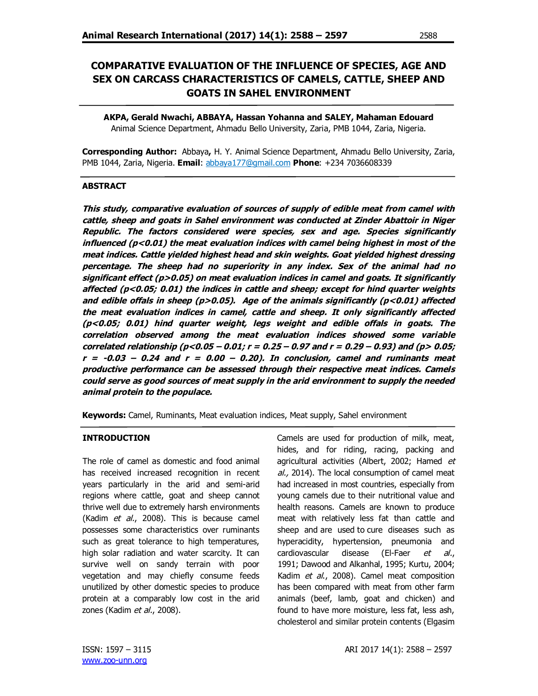# **COMPARATIVE EVALUATION OF THE INFLUENCE OF SPECIES, AGE AND SEX ON CARCASS CHARACTERISTICS OF CAMELS, CATTLE, SHEEP AND GOATS IN SAHEL ENVIRONMENT**

**AKPA, Gerald Nwachi, ABBAYA, Hassan Yohanna and SALEY, Mahaman Edouard** Animal Science Department, Ahmadu Bello University, Zaria, PMB 1044, Zaria, Nigeria.

**Corresponding Author:** Abbaya**,** H. Y. Animal Science Department, Ahmadu Bello University, Zaria, PMB 1044, Zaria, Nigeria. **Email**: abbaya177@gmail.com **Phone**: +234 7036608339

#### **ABSTRACT**

**This study, comparative evaluation of sources of supply of edible meat from camel with cattle, sheep and goats in Sahel environment was conducted at Zinder Abattoir in Niger Republic. The factors considered were species, sex and age. Species significantly influenced (p˂0.01) the meat evaluation indices with camel being highest in most of the meat indices. Cattle yielded highest head and skin weights. Goat yielded highest dressing percentage. The sheep had no superiority in any index. Sex of the animal had no significant effect (p>0.05) on meat evaluation indices in camel and goats. It significantly affected (p<0.05; 0.01) the indices in cattle and sheep; except for hind quarter weights and edible offals in sheep (p>0.05). Age of the animals significantly (p<0.01) affected the meat evaluation indices in camel, cattle and sheep. It only significantly affected (p<0.05; 0.01) hind quarter weight, legs weight and edible offals in goats. The correlation observed among the meat evaluation indices showed some variable correlated relationship (p<0.05 – 0.01; r <sup>=</sup> 0.25 – 0.97 and r <sup>=</sup> 0.29 – 0.93) and (p> 0.05; <sup>r</sup> <sup>=</sup> -0.03 – 0.24 and r <sup>=</sup> 0.00 – 0.20). In conclusion, camel and ruminants meat productive performance can be assessed through their respective meat indices. Camels could serve as good sources of meat supply in the arid environment to supply the needed animal protein to the populace.** 

**Keywords:** Camel, Ruminants, Meat evaluation indices, Meat supply, Sahel environment

#### **INTRODUCTION**

The role of camel as domestic and food animal has received increased recognition in recent years particularly in the arid and semi-arid regions where cattle, goat and sheep cannot thrive well due to extremely harsh environments (Kadim et al., 2008). This is because camel possesses some characteristics over ruminants such as great tolerance to high temperatures, high solar radiation and water scarcity. It can survive well on sandy terrain with poor vegetation and may chiefly consume feeds unutilized by other domestic species to produce protein at a comparably low cost in the arid zones (Kadim et al., 2008).

Camels are used for production of milk, meat, hides, and for riding, racing, packing and agricultural activities (Albert, 2002; Hamed et al., 2014). The local consumption of camel meat had increased in most countries, especially from young camels due to their nutritional value and health reasons. Camels are known to produce meat with relatively less fat than cattle and sheep and are used to cure diseases such as hyperacidity, hypertension, pneumonia and cardiovascular disease (El-Faer et al., 1991; Dawood and Alkanhal, 1995; Kurtu, 2004; Kadim et al., 2008). Camel meat composition has been compared with meat from other farm animals (beef, lamb, goat and chicken) and found to have more moisture, less fat, less ash, cholesterol and similar protein contents (Elgasim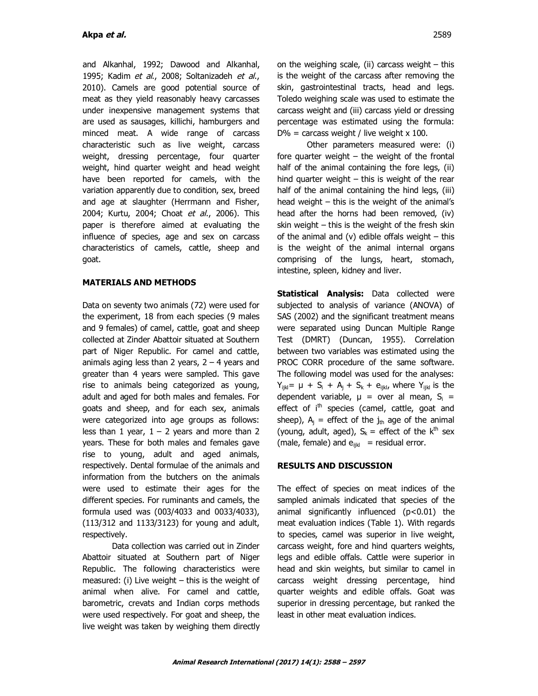and Alkanhal, 1992; Dawood and Alkanhal, 1995; Kadim et al., 2008; Soltanizadeh et al., 2010). Camels are good potential source of meat as they yield reasonably heavy carcasses under inexpensive management systems that are used as sausages, killichi, hamburgers and minced meat. A wide range of carcass characteristic such as live weight, carcass weight, dressing percentage, four quarter weight, hind quarter weight and head weight have been reported for camels, with the variation apparently due to condition, sex, breed and age at slaughter (Herrmann and Fisher, 2004; Kurtu, 2004; Choat et al., 2006). This paper is therefore aimed at evaluating the influence of species, age and sex on carcass characteristics of camels, cattle, sheep and goat.

### **MATERIALS AND METHODS**

Data on seventy two animals (72) were used for the experiment, 18 from each species (9 males and 9 females) of camel, cattle, goat and sheep collected at Zinder Abattoir situated at Southern part of Niger Republic. For camel and cattle, animals aging less than 2 years,  $2 - 4$  years and greater than 4 years were sampled. This gave rise to animals being categorized as young, adult and aged for both males and females. For goats and sheep, and for each sex, animals were categorized into age groups as follows: less than 1 year,  $1 - 2$  years and more than 2 years. These for both males and females gave rise to young, adult and aged animals, respectively. Dental formulae of the animals and information from the butchers on the animals were used to estimate their ages for the different species. For ruminants and camels, the formula used was (003/4033 and 0033/4033), (113/312 and 1133/3123) for young and adult, respectively.

Data collection was carried out in Zinder Abattoir situated at Southern part of Niger Republic. The following characteristics were measured: (i) Live weight – this is the weight of animal when alive. For camel and cattle, barometric, crevats and Indian corps methods were used respectively. For goat and sheep, the live weight was taken by weighing them directly

on the weighing scale, (ii) carcass weight – this is the weight of the carcass after removing the skin, gastrointestinal tracts, head and legs. Toledo weighing scale was used to estimate the carcass weight and (iii) carcass yield or dressing percentage was estimated using the formula:  $D\%$  = carcass weight / live weight x 100.

Other parameters measured were: (i) fore quarter weight – the weight of the frontal half of the animal containing the fore legs, (ii) hind quarter weight – this is weight of the rear half of the animal containing the hind legs, (iii) head weight – this is the weight of the animal's head after the horns had been removed, (iv) skin weight – this is the weight of the fresh skin of the animal and (v) edible offals weight  $-$  this is the weight of the animal internal organs comprising of the lungs, heart, stomach, intestine, spleen, kidney and liver.

**Statistical Analysis:** Data collected were subjected to analysis of variance (ANOVA) of SAS (2002) and the significant treatment means were separated using Duncan Multiple Range Test (DMRT) (Duncan, 1955). Correlation between two variables was estimated using the PROC CORR procedure of the same software. The following model was used for the analyses:  $Y_{ijkl} = \mu + S_i + A_j + S_k + e_{ijkl}$ , where  $Y_{ijkl}$  is the dependent variable,  $\mu$  = over al mean,  $S_i$  = effect of  $i<sup>th</sup>$  species (camel, cattle, goat and sheep),  $A_i$  = effect of the  $j_{th}$  age of the animal (young, adult, aged),  $S_k$  = effect of the  $k^{th}$  sex (male, female) and  $e_{ikl}$  = residual error.

#### **RESULTS AND DISCUSSION**

The effect of species on meat indices of the sampled animals indicated that species of the animal significantly influenced (p<0.01) the meat evaluation indices (Table 1). With regards to species, camel was superior in live weight, carcass weight, fore and hind quarters weights, legs and edible offals. Cattle were superior in head and skin weights, but similar to camel in carcass weight dressing percentage, hind quarter weights and edible offals. Goat was superior in dressing percentage, but ranked the least in other meat evaluation indices.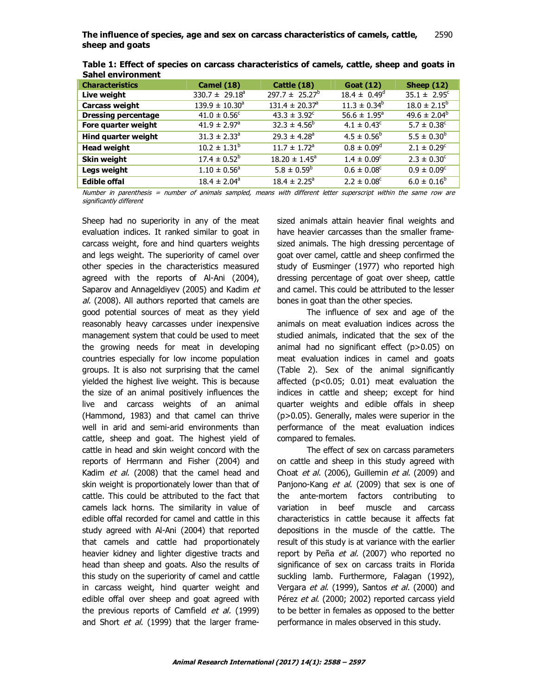| sanci chviromnome          |                              |                                |                         |                         |
|----------------------------|------------------------------|--------------------------------|-------------------------|-------------------------|
| <b>Characteristics</b>     | <b>Camel (18)</b>            | Cattle (18)                    | <b>Goat (12)</b>        | Sheep $(12)$            |
| Live weight                | $330.7 \pm 29.18^a$          | $297.7 \pm 25.27^b$            | $18.4 \pm 0.49^{\circ}$ | $35.1 \pm 2.95^{\circ}$ |
| Carcass weight             | $139.9 \pm 10.30^a$          | $131.4 \pm 20.37$ <sup>a</sup> | $11.3 \pm 0.34^b$       | $18.0 \pm 2.15^b$       |
| <b>Dressing percentage</b> | $41.0 \pm 0.56^{\circ}$      | $43.3 \pm 3.92^{\circ}$        | $56.6 \pm 1.95^{\circ}$ | $49.6 \pm 2.04^b$       |
| Fore quarter weight        | $41.9 \pm 2.97$ <sup>a</sup> | $32.3 \pm 4.56^b$              | $4.1 \pm 0.43^c$        | $5.7 \pm 0.38^{\circ}$  |
| Hind quarter weight        | $31.3 \pm 2.33^{\circ}$      | $29.3 \pm 4.28$ <sup>a</sup>   | $4.5 \pm 0.56^{\circ}$  | $5.5 \pm 0.30^b$        |
| <b>Head weight</b>         | $10.2 \pm 1.31^b$            | $11.7 \pm 1.72$ <sup>a</sup>   | $0.8 \pm 0.09^{\circ}$  | $2.1 \pm 0.29^c$        |
| Skin weight                | $17.4 \pm 0.52^b$            | $18.20 \pm 1.45^{\circ}$       | $1.4 \pm 0.09^{\circ}$  | $2.3 \pm 0.30^{\circ}$  |
| Legs weight                | $1.10 \pm 0.56^{\circ}$      | $5.8 \pm 0.59^b$               | $0.6 \pm 0.08^{\circ}$  | $0.9 \pm 0.09^{\circ}$  |
| <b>Edible offal</b>        | $18.4 \pm 2.04^{\circ}$      | $18.4 \pm 2.25^{\circ}$        | $2.2 \pm 0.08^{\circ}$  | $6.0 \pm 0.16^b$        |
|                            |                              |                                |                         |                         |

**Table 1: Effect of species on carcass characteristics of camels, cattle, sheep and goats in Sahel environment**

Number in parenthesis = number of animals sampled, means with different letter superscript within the same row are significantly different

Sheep had no superiority in any of the meat evaluation indices. It ranked similar to goat in carcass weight, fore and hind quarters weights and legs weight. The superiority of camel over other species in the characteristics measured agreed with the reports of Al-Ani (2004), Saparov and Annageldiyev (2005) and Kadim et al. (2008). All authors reported that camels are good potential sources of meat as they yield reasonably heavy carcasses under inexpensive management system that could be used to meet the growing needs for meat in developing countries especially for low income population groups. It is also not surprising that the camel yielded the highest live weight. This is because the size of an animal positively influences the live and carcass weights of an animal (Hammond, 1983) and that camel can thrive well in arid and semi-arid environments than cattle, sheep and goat. The highest yield of cattle in head and skin weight concord with the reports of Herrmann and Fisher (2004) and Kadim et al. (2008) that the camel head and skin weight is proportionately lower than that of cattle. This could be attributed to the fact that camels lack horns. The similarity in value of edible offal recorded for camel and cattle in this study agreed with Al-Ani (2004) that reported that camels and cattle had proportionately heavier kidney and lighter digestive tracts and head than sheep and goats. Also the results of this study on the superiority of camel and cattle in carcass weight, hind quarter weight and edible offal over sheep and goat agreed with the previous reports of Camfield et al. (1999) and Short et al. (1999) that the larger framesized animals attain heavier final weights and have heavier carcasses than the smaller framesized animals. The high dressing percentage of goat over camel, cattle and sheep confirmed the study of Eusminger (1977) who reported high dressing percentage of goat over sheep, cattle and camel. This could be attributed to the lesser bones in goat than the other species.

The influence of sex and age of the animals on meat evaluation indices across the studied animals, indicated that the sex of the animal had no significant effect (p>0.05) on meat evaluation indices in camel and goats (Table 2). Sex of the animal significantly affected (p<0.05; 0.01) meat evaluation the indices in cattle and sheep; except for hind quarter weights and edible offals in sheep (p>0.05). Generally, males were superior in the performance of the meat evaluation indices compared to females.

The effect of sex on carcass parameters on cattle and sheep in this study agreed with Choat et al. (2006), Guillemin et al. (2009) and Panjono-Kang *et al.* (2009) that sex is one of the ante-mortem factors contributing to variation in beef muscle and carcass characteristics in cattle because it affects fat depositions in the muscle of the cattle. The result of this study is at variance with the earlier report by Peña et al. (2007) who reported no significance of sex on carcass traits in Florida suckling lamb. Furthermore, Falagan (1992), Vergara et al. (1999), Santos et al. (2000) and Pérez et al. (2000; 2002) reported carcass yield to be better in females as opposed to the better performance in males observed in this study.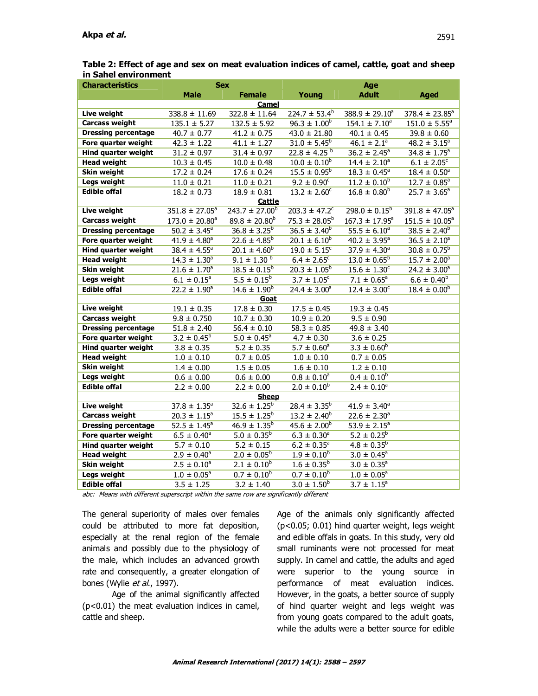| Table 2: Effect of age and sex on meat evaluation indices of camel, cattle, goat and sheep |  |
|--------------------------------------------------------------------------------------------|--|
| in Sahel environment                                                                       |  |

| <b>Characteristics</b>     |                              | <b>Sex</b>                    | Age                           |                             |                               |  |  |
|----------------------------|------------------------------|-------------------------------|-------------------------------|-----------------------------|-------------------------------|--|--|
|                            | <b>Male</b>                  | <b>Female</b>                 | Young                         | <b>Adult</b>                | <b>Aged</b>                   |  |  |
|                            |                              | <b>Camel</b>                  |                               |                             |                               |  |  |
| Live weight                | $338.8 \pm 11.69$            | $322.8 \pm 11.64$             | $224.7 \pm 53.4^b$            | $388.9 \pm 29.10^a$         | $378.4 \pm 23.85^a$           |  |  |
| <b>Carcass weight</b>      | $135.1 \pm 5.27$             | $132.5 \pm 5.92$              | $96.3 \pm 1.00^b$             | $154.1 \pm 7.10^a$          | $151.0 \pm 5.55$ <sup>a</sup> |  |  |
| <b>Dressing percentage</b> | $40.7 \pm 0.77$              | $41.2 \pm 0.75$               | $43.0 \pm 21.80$              | $40.1 \pm 0.45$             | $39.8 \pm 0.60$               |  |  |
| Fore quarter weight        | $42.3 \pm 1.22$              | $41.1 \pm 1.27$               | $31.0 \pm 5.45^b$             | $46.1 \pm 2.1^a$            | $48.2 \pm 3.15^a$             |  |  |
| <b>Hind quarter weight</b> | $31.2 \pm 0.97$              | $31.4 \pm 0.97$               | $22.8 \pm 4.25$ <sup>b</sup>  | $36.2 \pm 2.45^a$           | $34.8 \pm 1.75$ <sup>a</sup>  |  |  |
| <b>Head weight</b>         | $10.3 \pm 0.45$              | $10.0 \pm 0.48$               | $10.0 \pm 0.10^b$             | $14.4 \pm 2.10^a$           | $6.1 \pm 2.05^{\circ}$        |  |  |
| Skin weight                | $17.2 \pm 0.24$              | $17.6 \pm 0.24$               | $15.5 \pm 0.95^b$             | $18.3 \pm 0.45^a$           | $18.4 \pm 0.50^{\circ}$       |  |  |
| Legs weight                | $11.0 \pm 0.21$              | $11.0 \pm 0.21$               | $9.2 \pm 0.90^{\circ}$        | $11.2 \pm 0.10^b$           | $12.7 \pm 0.85$ <sup>a</sup>  |  |  |
| <b>Edible offal</b>        | $18.2 \pm 0.73$              | $18.9 \pm 0.81$               | $13.2 \pm 2.60^{\circ}$       | $16.8 \pm 0.80^b$           | $25.7 \pm 3.65^a$             |  |  |
|                            |                              | <u>Cattle</u>                 |                               |                             |                               |  |  |
| Live weight                | $351.8 \pm 27.05^a$          | $243.7 \pm 27.00^b$           | $203.3 \pm 47.2$ <sup>c</sup> | $298.0 \pm 0.15^b$          | $391.8 \pm 47.05^a$           |  |  |
| <b>Carcass weight</b>      | $173.0 \pm 20.80^a$          | $89.8 \pm 20.80$ <sup>b</sup> | $75.3 \pm 28.05^b$            | $167.3 \pm 17.95^a$         | $151.5 \pm 10.05^a$           |  |  |
| <b>Dressing percentage</b> | $50.2 \pm 3.45^a$            | $36.8 \pm 3.25^b$             | $36.5 \pm 3.40^b$             | $55.5 \pm 6.10^a$           | $38.5 \pm 2.40^b$             |  |  |
| Fore quarter weight        | $41.9 \pm 4.80$ <sup>a</sup> | $22.6 \pm 4.85^b$             | $20.1 \pm 6.10^b$             | $40.2 \pm 3.95^{\circ}$     | $36.5 \pm 2.10^a$             |  |  |
| <b>Hind quarter weight</b> | $38.4 \pm 4.55$ <sup>a</sup> | $20.1 \pm 4.60^b$             | $19.0 \pm 5.15^{\circ}$       | $37.9 \pm 4.30^a$           | $30.8 \pm 0.75^{\circ}$       |  |  |
| <b>Head weight</b>         | $14.3 \pm 1.30^a$            | $9.1 \pm 1.30^{b}$            | $6.4 \pm 2.65$ <sup>c</sup>   | $13.0 \pm 0.65^b$           | $15.7 \pm 2.00^a$             |  |  |
| Skin weight                | $21.6 \pm 1.70^a$            | $18.5 \pm 0.15^b$             | $20.3 \pm 1.05^b$             | $15.6 \pm 1.30^{\circ}$     | $24.2 \pm 3.00^a$             |  |  |
| Legs weight                | $6.1 \pm 0.15^a$             | $5.5 \pm 0.15^b$              | $3.7 \pm 1.05^{\circ}$        | $7.1 \pm 0.65^{\circ}$      | $6.6 \pm 0.40^b$              |  |  |
| <b>Edible offal</b>        | $22.2 \pm 1.90^{\circ}$      | $14.6 \pm 1.90^b$             | $24.4 \pm 3.00^a$             | $12.4 \pm 3.00^{\circ}$     | $18.4 \pm 0.00^b$             |  |  |
|                            |                              | Goat                          |                               |                             |                               |  |  |
| Live weight                | $19.1 \pm 0.35$              | $17.8 \pm 0.30$               | $17.5 \pm 0.45$               | $19.3 \pm 0.45$             |                               |  |  |
| <b>Carcass weight</b>      | $9.8 \pm 0.750$              | $10.7 \pm 0.30$               | $10.9 \pm 0.20$               | $9.5 \pm 0.90$              |                               |  |  |
| <b>Dressing percentage</b> | $51.8 \pm 2.40$              | $56.4 \pm 0.10$               | $58.3 \pm 0.85$               | $49.8 \pm 3.40$             |                               |  |  |
| Fore quarter weight        | $3.2 \pm 0.45^b$             | $5.0 \pm 0.45^{\circ}$        | $4.7 \pm 0.30$                | $3.6 \pm 0.25$              |                               |  |  |
| <b>Hind quarter weight</b> | $3.8 \pm 0.35$               | $5.2 \pm 0.35$                | $5.7 \pm 0.60^a$              | $3.3 \pm 0.60^b$            |                               |  |  |
| <b>Head weight</b>         | $1.0 \pm 0.10$               | $0.7 \pm 0.05$                | $1.0 \pm 0.10$                | $0.7 \pm 0.05$              |                               |  |  |
| Skin weight                | $1.4 \pm 0.00$               | $1.5 \pm 0.05$                | $1.6 \pm 0.10$                | $1.2 \pm 0.10$              |                               |  |  |
| Legs weight                | $0.6 \pm 0.00$               | $0.6 \pm 0.00$                | $0.8 \pm 0.10^a$              | $0.4 \pm 0.10^{6}$          |                               |  |  |
| <b>Edible offal</b>        | $2.2 \pm 0.00$               | $2.2 \pm 0.00$                | $2.0 \pm 0.10^{b}$            | $2.4 \pm 0.10^a$            |                               |  |  |
|                            |                              | <b>Sheep</b>                  |                               |                             |                               |  |  |
| Live weight                | $37.8 \pm 1.35^a$            | $32.6 \pm 1.25^b$             | $28.4 \pm 3.35^b$             | $41.9 \pm 3.40^a$           |                               |  |  |
| <b>Carcass weight</b>      | $20.3 \pm 1.15^a$            | $15.5 \pm 1.25^b$             | $13.2 \pm 2.40^b$             | $22.6 \pm 2.30^a$           |                               |  |  |
| <b>Dressing percentage</b> | $52.5 \pm 1.45$ <sup>a</sup> | $46.9 \pm 1.35^b$             | $45.6 \pm 2.00^b$             | $53.9 \pm 2.15^a$           |                               |  |  |
| Fore quarter weight        | $6.5 \pm 0.40^a$             | $5.0 \pm 0.35^b$              | $6.3 \pm 0.30$ <sup>a</sup>   | $5.2 \pm 0.25^b$            |                               |  |  |
| Hind quarter weight        | $5.7 \pm 0.10$               | $5.2 \pm 0.15$                | $6.2 \pm 0.35$ <sup>a</sup>   | $4.8 \pm 0.35^b$            |                               |  |  |
| <b>Head weight</b>         | $2.9 \pm 0.40^a$             | $2.0 \pm 0.05^b$              | $1.9 \pm 0.10^{b}$            | $3.0 \pm 0.45^a$            |                               |  |  |
| Skin weight                | $2.5 \pm 0.10^a$             | $2.1 \pm 0.10^{b}$            | $1.6 \pm 0.35^b$              | $3.0 \pm 0.35$ <sup>a</sup> |                               |  |  |
| Legs weight                | $1.0 \pm 0.05^a$             | $0.7 \pm 0.10^{b}$            | $0.7 \pm 0.10^{b}$            | $1.0 \pm 0.05^a$            |                               |  |  |
| <b>Edible offal</b>        | $3.5 \pm 1.25$               | $3.2 \pm 1.40$                | $3.0 \pm 1.50^b$              | $3.7 \pm 1.15^a$            |                               |  |  |

abc: Means with different superscript within the same row are significantly different

The general superiority of males over females could be attributed to more fat deposition, especially at the renal region of the female animals and possibly due to the physiology of the male, which includes an advanced growth rate and consequently, a greater elongation of bones (Wylie et al., 1997).

Age of the animal significantly affected (p<0.01) the meat evaluation indices in camel, cattle and sheep.

Age of the animals only significantly affected (p<0.05; 0.01) hind quarter weight, legs weight and edible offals in goats. In this study, very old small ruminants were not processed for meat supply. In camel and cattle, the adults and aged were superior to the young source in performance of meat evaluation indices. However, in the goats, a better source of supply of hind quarter weight and legs weight was from young goats compared to the adult goats, while the adults were a better source for edible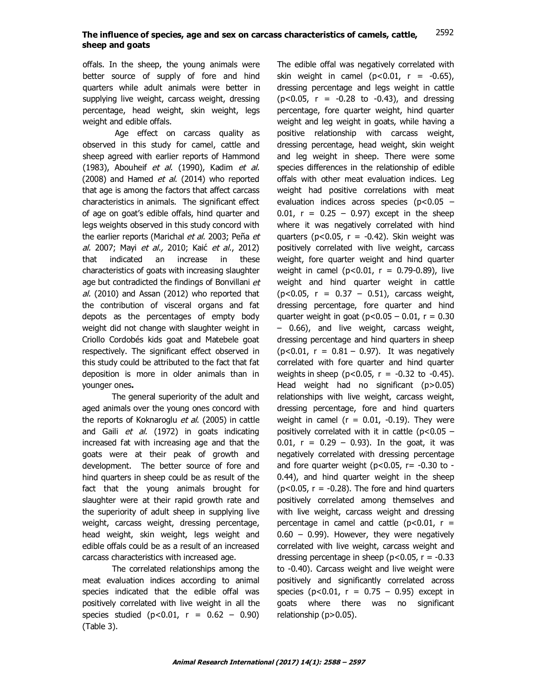offals. In the sheep, the young animals were better source of supply of fore and hind quarters while adult animals were better in supplying live weight, carcass weight, dressing percentage, head weight, skin weight, legs weight and edible offals.

Age effect on carcass quality as observed in this study for camel, cattle and sheep agreed with earlier reports of Hammond (1983), Abouheif et al. (1990), Kadim et al. (2008) and Hamed et al. (2014) who reported that age is among the factors that affect carcass characteristics in animals. The significant effect of age on goat's edible offals, hind quarter and legs weights observed in this study concord with the earlier reports (Marichal et al. 2003; Peña et al. 2007; Mayi et al., 2010; Kaić et al., 2012) that indicated an increase in these characteristics of goats with increasing slaughter age but contradicted the findings of Bonvillani et al. (2010) and Assan (2012) who reported that the contribution of visceral organs and fat depots as the percentages of empty body weight did not change with slaughter weight in Criollo Cordobés kids goat and Matebele goat respectively. The significant effect observed in this study could be attributed to the fact that fat deposition is more in older animals than in younger ones**.**

The general superiority of the adult and aged animals over the young ones concord with the reports of Koknaroglu et al. (2005) in cattle and Gaili *et al.* (1972) in goats indicating increased fat with increasing age and that the goats were at their peak of growth and development. The better source of fore and hind quarters in sheep could be as result of the fact that the young animals brought for slaughter were at their rapid growth rate and the superiority of adult sheep in supplying live weight, carcass weight, dressing percentage, head weight, skin weight, legs weight and edible offals could be as a result of an increased carcass characteristics with increased age.

The correlated relationships among the meat evaluation indices according to animal species indicated that the edible offal was positively correlated with live weight in all the species studied  $(p<0.01, r = 0.62 - 0.90)$ (Table 3).

The edible offal was negatively correlated with skin weight in camel  $(p<0.01, r = -0.65)$ , dressing percentage and legs weight in cattle  $(p<0.05, r = -0.28$  to  $-0.43$ ), and dressing percentage, fore quarter weight, hind quarter weight and leg weight in goats, while having a positive relationship with carcass weight, dressing percentage, head weight, skin weight and leg weight in sheep. There were some species differences in the relationship of edible offals with other meat evaluation indices. Leg weight had positive correlations with meat evaluation indices across species  $(p<0.05 0.01$ ,  $r = 0.25 - 0.97$ ) except in the sheep where it was negatively correlated with hind quarters ( $p < 0.05$ ,  $r = -0.42$ ). Skin weight was positively correlated with live weight, carcass weight, fore quarter weight and hind quarter weight in camel ( $p < 0.01$ ,  $r = 0.79 - 0.89$ ), live weight and hind quarter weight in cattle  $(p<0.05, r = 0.37 - 0.51)$ , carcass weight, dressing percentage, fore quarter and hind quarter weight in goat  $(p<0.05 - 0.01, r = 0.30)$ – 0.66), and live weight, carcass weight, dressing percentage and hind quarters in sheep  $(p<0.01, r = 0.81 - 0.97)$ . It was negatively correlated with fore quarter and hind quarter weights in sheep ( $p < 0.05$ ,  $r = -0.32$  to  $-0.45$ ). Head weight had no significant (p>0.05) relationships with live weight, carcass weight, dressing percentage, fore and hind quarters weight in camel ( $r = 0.01$ , -0.19). They were positively correlated with it in cattle ( $p<0.05$  – 0.01,  $r = 0.29 - 0.93$ ). In the goat, it was negatively correlated with dressing percentage and fore quarter weight ( $p<0.05$ ,  $r=-0.30$  to -0.44), and hind quarter weight in the sheep  $(p<0.05, r = -0.28)$ . The fore and hind quarters positively correlated among themselves and with live weight, carcass weight and dressing percentage in camel and cattle  $(p<0.01, r =$  $0.60 - 0.99$ ). However, they were negatively correlated with live weight, carcass weight and dressing percentage in sheep ( $p$ <0.05,  $r = -0.33$ to -0.40). Carcass weight and live weight were positively and significantly correlated across species ( $p < 0.01$ ,  $r = 0.75 - 0.95$ ) except in goats where there was no significant relationship (p>0.05).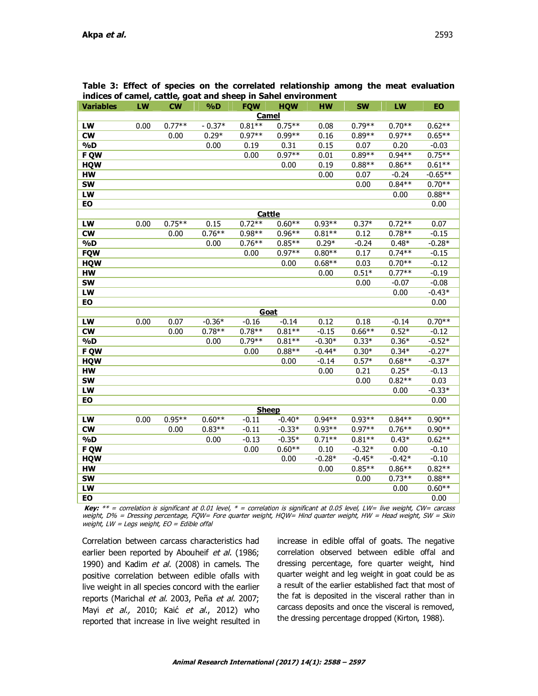| Table 3: Effect of species on the correlated relationship among the meat evaluation |  |
|-------------------------------------------------------------------------------------|--|
| indices of camel, cattle, goat and sheep in Sahel environment                       |  |

| <b>Variables</b> | LW   | <b>CW</b> | %D       | <b>FQW</b> | <b>HQW</b> | <b>HW</b> | <b>SW</b> | LW       | <b>EO</b> |
|------------------|------|-----------|----------|------------|------------|-----------|-----------|----------|-----------|
| <b>Camel</b>     |      |           |          |            |            |           |           |          |           |
| LW               | 0.00 | $0.77**$  | $-0.37*$ | $0.81**$   | $0.75**$   | 0.08      | $0.79**$  | $0.70**$ | $0.62**$  |
| <b>CW</b>        |      | 0.00      | $0.29*$  | $0.97**$   | $0.99**$   | 0.16      | $0.89**$  | $0.97**$ | $0.65**$  |
| $\%D$            |      |           | 0.00     | 0.19       | 0.31       | 0.15      | 0.07      | 0.20     | $-0.03$   |
| F QW             |      |           |          | 0.00       | $0.97**$   | 0.01      | $0.89**$  | $0.94**$ | $0.75***$ |
| <b>HQW</b>       |      |           |          |            | 0.00       | 0.19      | $0.88**$  | $0.86**$ | $0.61**$  |
| <b>HW</b>        |      |           |          |            |            | 0.00      | 0.07      | $-0.24$  | $-0.65**$ |
| <b>SW</b>        |      |           |          |            |            |           | 0.00      | $0.84**$ | $0.70**$  |
| LW               |      |           |          |            |            |           |           | 0.00     | $0.88**$  |
| EO               |      |           |          |            |            |           |           |          | 0.00      |
|                  |      |           |          | Cattle     |            |           |           |          |           |
| LW               | 0.00 | $0.75**$  | 0.15     | $0.72**$   | $0.60**$   | $0.93**$  | $0.37*$   | $0.72**$ | 0.07      |
| <b>CW</b>        |      | 0.00      | $0.76**$ | $0.98**$   | $0.96**$   | $0.81**$  | 0.12      | $0.78**$ | $-0.15$   |
| $\%D$            |      |           | 0.00     | $0.76**$   | $0.85**$   | $0.29*$   | $-0.24$   | $0.48*$  | $-0.28*$  |
| <b>FQW</b>       |      |           |          | 0.00       | $0.97**$   | $0.80**$  | 0.17      | $0.74**$ | $-0.15$   |
| <b>HQW</b>       |      |           |          |            | 0.00       | $0.68**$  | 0.03      | $0.70**$ | $-0.12$   |
| HW               |      |           |          |            |            | 0.00      | $0.51*$   | $0.77**$ | $-0.19$   |
| <b>SW</b>        |      |           |          |            |            |           | 0.00      | $-0.07$  | $-0.08$   |
| LW               |      |           |          |            |            |           |           | 0.00     | $-0.43*$  |
| EO               |      |           |          |            |            |           |           |          | 0.00      |
|                  |      |           |          | Goat       |            |           |           |          |           |
| LW               | 0.00 | 0.07      | $-0.36*$ | $-0.16$    | $-0.14$    | 0.12      | 0.18      | $-0.14$  | $0.70**$  |
| <b>CW</b>        |      | 0.00      | $0.78**$ | $0.78**$   | $0.81**$   | $-0.15$   | $0.66**$  | $0.52*$  | $-0.12$   |
| $\%D$            |      |           | 0.00     | $0.79**$   | $0.81**$   | $-0.30*$  | $0.33*$   | $0.36*$  | $-0.52*$  |
| F QW             |      |           |          | 0.00       | $0.88**$   | $-0.44*$  | $0.30*$   | $0.34*$  | $-0.27*$  |
| <b>HQW</b>       |      |           |          |            | 0.00       | $-0.14$   | $0.57*$   | $0.68**$ | $-0.37*$  |
| <b>HW</b>        |      |           |          |            |            | 0.00      | 0.21      | $0.25*$  | $-0.13$   |
| <b>SW</b>        |      |           |          |            |            |           | 0.00      | $0.82**$ | 0.03      |
| LW               |      |           |          |            |            |           |           | 0.00     | $-0.33*$  |
| EO               |      |           |          |            |            |           |           |          | 0.00      |
| <b>Sheep</b>     |      |           |          |            |            |           |           |          |           |
| LW               | 0.00 | $0.95**$  | $0.60**$ | $-0.11$    | $-0.40*$   | $0.94**$  | $0.93**$  | $0.84**$ | $0.90**$  |
| <b>CW</b>        |      | 0.00      | $0.83**$ | $-0.11$    | $-0.33*$   | $0.93**$  | $0.97**$  | $0.76**$ | $0.90**$  |
| $\%D$            |      |           | 0.00     | $-0.13$    | $-0.35*$   | $0.71**$  | $0.81**$  | $0.43*$  | $0.62**$  |
| F QW             |      |           |          | 0.00       | $0.60**$   | 0.10      | $-0.32*$  | 0.00     | $-0.10$   |
| <b>HQW</b>       |      |           |          |            | 0.00       | $-0.28*$  | $-0.45*$  | $-0.42*$ | $-0.10$   |
| <b>HW</b>        |      |           |          |            |            | 0.00      | $0.85**$  | $0.86**$ | $0.82**$  |
| <b>SW</b>        |      |           |          |            |            |           | 0.00      | $0.73**$ | $0.88**$  |
| LW               |      |           |          |            |            |           |           | 0.00     | $0.60**$  |
| EO               |      |           |          |            |            |           |           |          | 0.00      |

**Key:** \*\* = correlation is significant at 0.01 level, \* = correlation is significant at 0.05 level, LW= live weight, CW= carcass weight, D% = Dressing percentage, FQW= Fore quarter weight, HQW= Hind quarter weight, HW = Head weight, SW = Skin weight,  $LW = Legs$  weight,  $EO = Edible$  offal

Correlation between carcass characteristics had earlier been reported by Abouheif et al. (1986; 1990) and Kadim et al. (2008) in camels. The positive correlation between edible ofalls with live weight in all species concord with the earlier reports (Marichal et al. 2003, Peña et al. 2007; Mayi et al., 2010; Kaić et al., 2012) who reported that increase in live weight resulted in increase in edible offal of goats. The negative correlation observed between edible offal and dressing percentage, fore quarter weight, hind quarter weight and leg weight in goat could be as a result of the earlier established fact that most of the fat is deposited in the visceral rather than in carcass deposits and once the visceral is removed, the dressing percentage dropped (Kirton, 1988).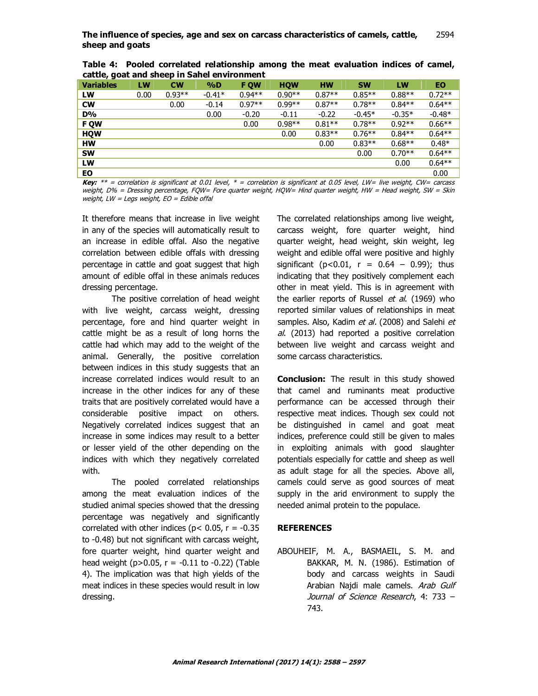| cattle, yout and sneep in sanel environment |      |           |          |             |            |           |           |          |          |
|---------------------------------------------|------|-----------|----------|-------------|------------|-----------|-----------|----------|----------|
| <b>Variables</b>                            | LW   | <b>CW</b> | $\%D$    | <b>F OW</b> | <b>HOW</b> | <b>HW</b> | <b>SW</b> | LW       | ΕO       |
| LW                                          | 0.00 | $0.93**$  | $-0.41*$ | $0.94**$    | $0.90**$   | $0.87**$  | $0.85**$  | $0.88**$ | $0.72**$ |
| <b>CW</b>                                   |      | 0.00      | $-0.14$  | $0.97**$    | $0.99**$   | $0.87**$  | $0.78**$  | $0.84**$ | $0.64**$ |
| D%                                          |      |           | 0.00     | $-0.20$     | $-0.11$    | $-0.22$   | $-0.45*$  | $-0.35*$ | $-0.48*$ |
| <b>F QW</b>                                 |      |           |          | 0.00        | $0.98**$   | $0.81**$  | $0.78**$  | $0.92**$ | $0.66**$ |
| <b>HQW</b>                                  |      |           |          |             | 0.00       | $0.83**$  | $0.76**$  | $0.84**$ | $0.64**$ |
| <b>HW</b>                                   |      |           |          |             |            | 0.00      | $0.83**$  | $0.68**$ | $0.48*$  |
| <b>SW</b>                                   |      |           |          |             |            |           | 0.00      | $0.70**$ | $0.64**$ |
| <b>LW</b>                                   |      |           |          |             |            |           |           | 0.00     | $0.64**$ |
| <b>EO</b>                                   |      |           |          |             |            |           |           |          | 0.00     |

**Table 4: Pooled correlated relationship among the meat evaluation indices of camel, cattle, goat and sheep in Sahel environment**

**Key:** \*\* = correlation is significant at 0.01 level, \* = correlation is significant at 0.05 level, LW= live weight, CW= carcass weight, D% = Dressing percentage, FQW= Fore quarter weight, HQW= Hind quarter weight, HW = Head weight, SW = Skin weight,  $LW = Legs$  weight,  $EO = Edible$  offal

It therefore means that increase in live weight in any of the species will automatically result to an increase in edible offal. Also the negative correlation between edible offals with dressing percentage in cattle and goat suggest that high amount of edible offal in these animals reduces dressing percentage.

The positive correlation of head weight with live weight, carcass weight, dressing percentage, fore and hind quarter weight in cattle might be as a result of long horns the cattle had which may add to the weight of the animal. Generally, the positive correlation between indices in this study suggests that an increase correlated indices would result to an increase in the other indices for any of these traits that are positively correlated would have a considerable positive impact on others. Negatively correlated indices suggest that an increase in some indices may result to a better or lesser yield of the other depending on the indices with which they negatively correlated with.

The pooled correlated relationships among the meat evaluation indices of the studied animal species showed that the dressing percentage was negatively and significantly correlated with other indices ( $p$ < 0.05,  $r = -0.35$ ) to -0.48) but not significant with carcass weight, fore quarter weight, hind quarter weight and head weight ( $p > 0.05$ ,  $r = -0.11$  to  $-0.22$ ) (Table 4). The implication was that high yields of the meat indices in these species would result in low dressing.

The correlated relationships among live weight, carcass weight, fore quarter weight, hind quarter weight, head weight, skin weight, leg weight and edible offal were positive and highly significant ( $p < 0.01$ ,  $r = 0.64 - 0.99$ ); thus indicating that they positively complement each other in meat yield. This is in agreement with the earlier reports of Russel *et al.* (1969) who reported similar values of relationships in meat samples. Also, Kadim et al. (2008) and Salehi et al. (2013) had reported a positive correlation between live weight and carcass weight and some carcass characteristics.

**Conclusion:** The result in this study showed that camel and ruminants meat productive performance can be accessed through their respective meat indices. Though sex could not be distinguished in camel and goat meat indices, preference could still be given to males in exploiting animals with good slaughter potentials especially for cattle and sheep as well as adult stage for all the species. Above all, camels could serve as good sources of meat supply in the arid environment to supply the needed animal protein to the populace.

## **REFERENCES**

ABOUHEIF, M. A., BASMAEIL, S. M. and BAKKAR, M. N. (1986). Estimation of body and carcass weights in Saudi Arabian Najdi male camels. Arab Gulf Journal of Science Research, 4: 733 – 743.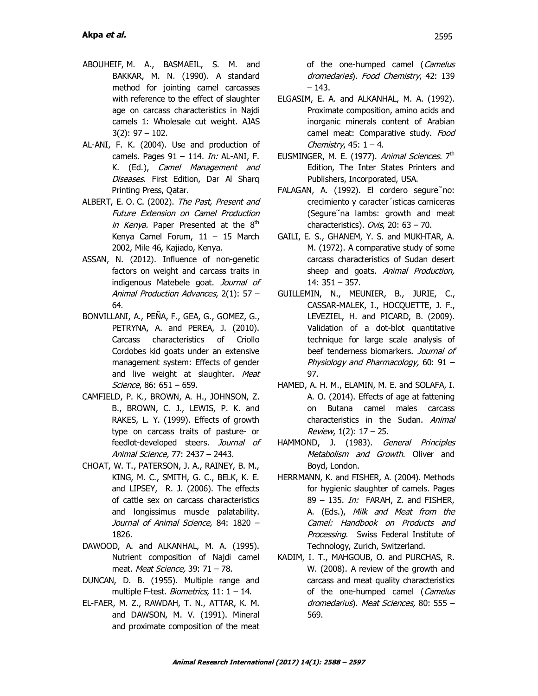- ABOUHEIF, M. A., BASMAEIL, S. M. and BAKKAR, M. N. (1990). A standard method for jointing camel carcasses with reference to the effect of slaughter age on carcass characteristics in Najdi camels 1: Wholesale cut weight. AJAS 3(2): 97 – 102.
- AL-ANI, F. K. (2004). Use and production of camels. Pages  $91 - 114$ . *In:* AL-ANI, F. K. (Ed.), Camel Management and Diseases. First Edition, Dar Al Sharq Printing Press, Qatar.
- ALBERT, E. O. C. (2002). The Past, Present and Future Extension on Camel Production in Kenya. Paper Presented at the  $8<sup>th</sup>$ Kenya Camel Forum, 11 – 15 March 2002, Mile 46, Kajiado, Kenya.
- ASSAN, N. (2012). Influence of non-genetic factors on weight and carcass traits in indigenous Matebele goat. Journal of Animal Production Advances, 2(1): 57 – 64.
- BONVILLANI, A., PEÑA, F., GEA, G., GOMEZ, G., PETRYNA, A. and PEREA, J. (2010). Carcass characteristics of Criollo Cordobes kid goats under an extensive management system: Effects of gender and live weight at slaughter. Meat Science, 86: 651 – 659.
- CAMFIELD, P. K., BROWN, A. H., JOHNSON, Z. B., BROWN, C. J., LEWIS, P. K. and RAKES, L. Y. (1999). Effects of growth type on carcass traits of pasture- or feedlot-developed steers. Journal of Animal Science, 77: 2437 – 2443.
- CHOAT, W. T., PATERSON, J. A., RAINEY, B. M., KING, M. C., SMITH, G. C., BELK, K. E. and LIPSEY, R. J. (2006). The effects of cattle sex on carcass characteristics and longissimus muscle palatability. Journal of Animal Science, 84: 1820 – 1826.
- DAWOOD, A. and ALKANHAL, M. A. (1995). Nutrient composition of Najdi camel meat. Meat Science, 39: 71 – 78.
- DUNCAN, D. B. (1955). Multiple range and multiple F-test. *Biometrics*,  $11: 1 - 14$ .
- EL-FAER, M. Z., RAWDAH, T. N., ATTAR, K. M. and DAWSON, M. V. (1991). Mineral and proximate composition of the meat

of the one-humped camel (Camelus dromedaries). Food Chemistry, 42: 139 – 143.

- ELGASIM, E. A. and ALKANHAL, M. A. (1992). Proximate composition, amino acids and inorganic minerals content of Arabian camel meat: Comparative study. Food Chemistry,  $45: 1 - 4$ .
- EUSMINGER, M. E. (1977). *Animal Sciences.* 7<sup>th</sup> Edition, The Inter States Printers and Publishers, Incorporated, USA.
- FALAGAN, A. (1992). El cordero segure˜no: crecimiento y caracter´ısticas carniceras (Segure˜na lambs: growth and meat characteristics). Ovis, 20:  $63 - 70$ .
- GAILI, E. S., GHANEM, Y. S. and MUKHTAR, A. M. (1972). A comparative study of some carcass characteristics of Sudan desert sheep and goats. Animal Production, 14: 351 – 357.
- GUILLEMIN, N., MEUNIER, B., JURIE, C., CASSAR-MALEK, I., HOCQUETTE, J. F., LEVEZIEL, H. and PICARD, B. (2009). Validation of a dot-blot quantitative technique for large scale analysis of beef tenderness biomarkers. Journal of Physiology and Pharmacology, 60: 91 – 97.
- HAMED, A. H. M., ELAMIN, M. E. and SOLAFA, I. A. O. (2014). Effects of age at fattening on Butana camel males carcass characteristics in the Sudan. Animal Review,  $1(2)$ :  $17 - 25$ .
- HAMMOND, J. (1983). General Principles Metabolism and Growth. Oliver and Boyd, London.
- HERRMANN, K. and FISHER, A. (2004). Methods for hygienic slaughter of camels. Pages 89 – 135. *In:* FARAH, Z. and FISHER, A. (Eds.), Milk and Meat from the Camel: Handbook on Products and Processing. Swiss Federal Institute of Technology, Zurich, Switzerland.
- KADIM, I. T., MAHGOUB, O. and PURCHAS, R. W. (2008). A review of the growth and carcass and meat quality characteristics of the one-humped camel (Camelus dromedarius). Meat Sciences, 80: 555 – 569.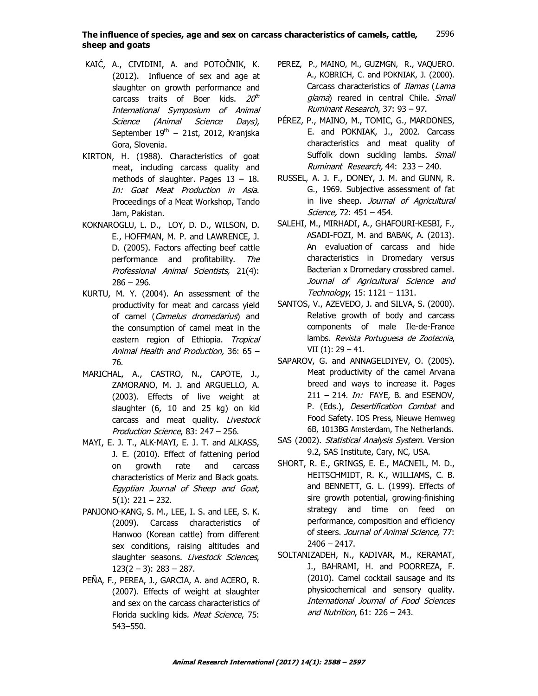#### The influence of species, age and sex on carcass characteristics of camels, cattle, **sheep and goats** 2596

- KAIĆ, A., CIVIDINI, A. and POTOČNIK, K. (2012). Influence of sex and age at slaughter on growth performance and carcass traits of Boer kids.  $20^{\rm th}$ International Symposium of Animal Science (Animal Science Days), September 19<sup>th</sup> − 21st, 2012, Kranjska Gora, Slovenia.
- KIRTON, H. (1988). Characteristics of goat meat, including carcass quality and methods of slaughter. Pages 13 – 18. In: Goat Meat Production in Asia. Proceedings of a Meat Workshop, Tando Jam, Pakistan.
- KOKNAROGLU, L. D., LOY, D. D., WILSON, D. E., HOFFMAN, M. P. and LAWRENCE, J. D. (2005). Factors affecting beef cattle performance and profitability. The Professional Animal Scientists, 21(4):  $286 - 296.$
- KURTU, M. Y. (2004). An assessment of the productivity for meat and carcass yield of camel (Camelus dromedarius) and the consumption of camel meat in the eastern region of Ethiopia. Tropical Animal Health and Production, 36: 65 – 76.
- MARICHAL, A., CASTRO, N., CAPOTE, J., ZAMORANO, M. J. and ARGUELLO, A. (2003). Effects of live weight at slaughter (6, 10 and 25 kg) on kid carcass and meat quality. Livestock Production Science, 83: 247 – 256.
- MAYI, E. J. T., ALK-MAYI, E. J. T. and ALKASS, J. E. (2010). Effect of fattening period on growth rate and carcass characteristics of Meriz and Black goats. Egyptian Journal of Sheep and Goat,  $5(1)$ : 221 – 232.
- PANJONO-KANG, S. M., LEE, I. S. and LEE, S. K. (2009). Carcass characteristics of Hanwoo (Korean cattle) from different sex conditions, raising altitudes and slaughter seasons. Livestock Sciences,  $123(2 - 3)$ : 283 – 287.
- PEÑA, F., PEREA, J., GARCIA, A. and ACERO, R. (2007). Effects of weight at slaughter and sex on the carcass characteristics of Florida suckling kids. Meat Science, 75: 543–550.
- PEREZ, P., MAINO, M., GUZMGN, R., VAQUERO. A., KOBRICH, C. and POKNIAK, J. (2000). Carcass characteristics of Ilamas (Lama glama) reared in central Chile. Small Ruminant Research, 37: 93 – 97.
- PÉREZ, P., MAINO, M., TOMIC, G., MARDONES, E. and POKNIAK, J., 2002. Carcass characteristics and meat quality of Suffolk down suckling lambs. Small Ruminant Research, 44: 233 – 240.
- RUSSEL, A. J. F., DONEY, J. M. and GUNN, R. G., 1969. Subjective assessment of fat in live sheep. Journal of Agricultural Science, 72: 451 – 454.
- SALEHI, M., MIRHADI, A., GHAFOURI-KESBI, F., ASADI-FOZI, M. and BABAK, A. (2013). An evaluation of carcass and hide characteristics in Dromedary versus Bacterian x Dromedary crossbred camel. Journal of Agricultural Science and Technology, 15: 1121 – 1131.
- SANTOS, V., AZEVEDO, J. and SILVA, S. (2000). Relative growth of body and carcass components of male Ile-de-France lambs. Revista Portuguesa de Zootecnia, VII $(1)$ : 29 – 41.
- SAPAROV, G. and ANNAGELDIYEV, O. (2005). Meat productivity of the camel Arvana breed and ways to increase it. Pages  $211 - 214$ . *In:* FAYE, B. and ESENOV, P. (Eds.), Desertification Combat and Food Safety. IOS Press, Nieuwe Hemweg 6B, 1013BG Amsterdam, The Netherlands.
- SAS (2002). Statistical Analysis System. Version 9.2, SAS Institute, Cary, NC, USA.
- SHORT, R. E., GRINGS, E. E., MACNEIL, M. D., HEITSCHMIDT, R. K., WILLIAMS, C. B. and BENNETT, G. L. (1999). Effects of sire growth potential, growing-finishing strategy and time on feed on performance, composition and efficiency of steers. Journal of Animal Science, 77:  $2406 - 2417.$
- SOLTANIZADEH, N., KADIVAR, M., KERAMAT, J., BAHRAMI, H. and POORREZA, F. (2010). Camel cocktail sausage and its physicochemical and sensory quality. International Journal of Food Sciences and Nutrition, 61: 226 – 243.